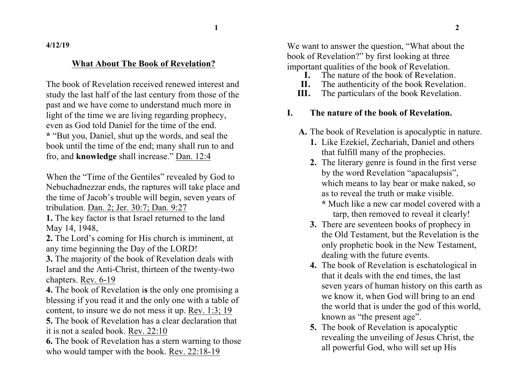**4/12/19**

### **What About The Book of Revelation?**

The book of Revelation received renewed interest and study the last half of the last century from those of the past and we have come to understand much more in light of the time we are living regarding prophecy, even as God told Daniel for the time of the end. **\*** "But you, Daniel, shut up the words, and seal the book until the time of the end; many shall run to and fro, and **knowledge** shall increase." Dan. 12:4

When the "Time of the Gentiles" revealed by God to Nebuchadnezzar ends, the raptures will take place and the time of Jacob's trouble will begin, seven years of tribulation. Dan. 2; Jer. 30:7; Dan. 9:27

**1.** The key factor is that Israel returned to the land May 14, 1948,

- **2.** The Lord's coming for His church is imminent, at any time beginning the Day of the LORD!
- **3.** The majority of the book of Revelation deals with Israel and the Anti-Christ, thirteen of the twenty-two chapters. Rev. 6-19

**4.** The book of Revelation i**s** the only one promising a blessing if you read it and the only one with a table of content, to insure we do not mess it up. Rev. 1:3; 19

**5.** The book of Revelation has a clear declaration that it is not a sealed book. Rev. 22:10

**6.** The book of Revelation has a stern warning to those who would tamper with the book. Rev. 22:18-19

We want to answer the question, "What about the book of Revelation?" by first looking at three important qualities of the book of Revelation.

- **I.** The nature of the book of Revelation.<br>**II.** The authenticity of the book Revelation
- The authenticity of the book Revelation.
- **III.** The particulars of the book Revelation.

# **I. The nature of the book of Revelation.**

- **A.** The book of Revelation is apocalyptic in nature.
	- **1.** Like Ezekiel, Zechariah, Daniel and others that fulfill many of the prophecies.
	- **2.** The literary genre is found in the first verse by the word Revelation "apacalupsis", which means to lay bear or make naked, so as to reveal the truth or make visible.
		- **\*** Much like a new car model covered with a tarp, then removed to reveal it clearly!
	- **3.** There are seventeen books of prophecy in the Old Testament, but the Revelation is the only prophetic book in the New Testament, dealing with the future events.
	- **4.** The book of Revelation is eschatological in that it deals with the end times, the last seven years of human history on this earth as we know it, when God will bring to an end the world that is under the god of this world, known as "the present age".
	- **5.** The book of Revelation is apocalyptic revealing the unveiling of Jesus Christ, the all powerful God, who will set up His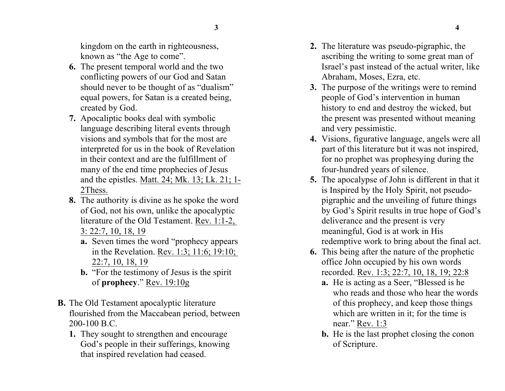kingdom on the earth in righteousness, known as "the Age to come".

- **6.** The present temporal world and the two conflicting powers of our God and Satan should never to be thought of as "dualism" equal powers, for Satan is a created being, created by God.
- **7.** Apocaliptic books deal with symbolic language describing literal events through visions and symbols that for the most are interpreted for us in the book of Revelation in their context and are the fulfillment of many of the end time prophecies of Jesus and the epistles. Matt. 24; Mk. 13; Lk. 21; 1- 2Thess.
- **8.** The authority is divine as he spoke the word of God, not his own, unlike the apocalyptic literature of the Old Testament. Rev. 1:1-2, 3: 22:7, 10, 18, 19
	- **a.** Seven times the word "prophecy appears in the Revelation. Rev. 1:3; 11:6; 19:10; 22:7, 10, 18, 19
	- **b.** "For the testimony of Jesus is the spirit of **prophecy**." Rev. 19:10g
- **B.** The Old Testament apocalyptic literature flourished from the Maccabean period, between 200-100 B.C.
	- **1.** They sought to strengthen and encourage God's people in their sufferings, knowing that inspired revelation had ceased.
- **2.** The literature was pseudo-pigraphic, the ascribing the writing to some great man of Israel's past instead of the actual writer, like Abraham, Moses, Ezra, etc.
- **3.** The purpose of the writings were to remind people of God's intervention in human history to end and destroy the wicked, but the present was presented without meaning and very pessimistic.
- **4.** Visions, figurative language, angels were all part of this literature but it was not inspired, for no prophet was prophesying during the four-hundred years of silence.
- **5.** The apocalypse of John is different in that it is Inspired by the Holy Spirit, not pseudopigraphic and the unveiling of future things by God's Spirit results in true hope of God's deliverance and the present is very meaningful, God is at work in His redemptive work to bring about the final act.
- **6.** This being after the nature of the prophetic office John occupied by his own words recorded. Rev. 1:3; 22:7, 10, 18, 19; 22:8
	- **a.** He is acting as a Seer, "Blessed is he who reads and those who hear the words of this prophecy, and keep those things which are written in it; for the time is near." Rev. 1:3
	- **b.** He is the last prophet closing the conon of Scripture.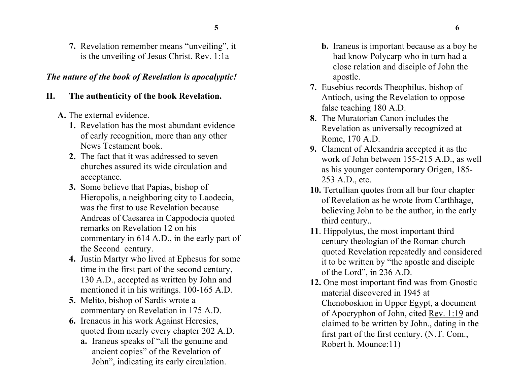**7.** Revelation remember means "unveiling", it is the unveiling of Jesus Christ. Rev. 1:1a

#### *The nature of the book of Revelation is apocalyptic!*

#### **II. The authenticity of the book Revelation.**

- **A.** The external evidence.
	- **1.** Revelation has the most abundant evidence of early recognition, more than any other News Testament book.
	- **2.** The fact that it was addressed to seven churches assured its wide circulation and acceptance.
	- **3.** Some believe that Papias, bishop of Hieropolis, a neighboring city to Laodecia, was the first to use Revelation because Andreas of Caesarea in Cappodocia quoted remarks on Revelation 12 on his commentary in 614 A.D., in the early part of the Second century.
	- **4.** Justin Martyr who lived at Ephesus for some time in the first part of the second century, 130 A.D., accepted as written by John and mentioned it in his writings. 100-165 A.D.
	- **5.** Melito, bishop of Sardis wrote a commentary on Revelation in 175 A.D.
	- **6.** Irenaeus in his work Against Heresies, quoted from nearly every chapter 202 A.D.
		- **a.** Iraneus speaks of "all the genuine and ancient copies" of the Revelation of John", indicating its early circulation.
- **b.** Iraneus is important because as a boy he had know Polycarp who in turn had a close relation and disciple of John the apostle.
- **7.** Eusebius records Theophilus, bishop of Antioch, using the Revelation to oppose false teaching 180 A.D.
- **8.** The Muratorian Canon includes the Revelation as universally recognized at Rome, 170 A.D.
- **9.** Clament of Alexandria accepted it as the work of John between 155-215 A.D., as well as his younger contemporary Origen, 185- 253 A.D., etc.
- **10.** Tertullian quotes from all bur four chapter of Revelation as he wrote from Carthhage, believing John to be the author, in the early third century..
- **11**. Hippolytus, the most important third century theologian of the Roman church quoted Revelation repeatedly and considered it to be written by "the apostle and disciple of the Lord", in 236 A.D.
- **12.** One most important find was from Gnostic material discovered in 1945 at Chenoboskion in Upper Egypt, a document of Apocryphon of John, cited Rev. 1:19 and claimed to be written by John., dating in the first part of the first century. (N.T. Com., Robert h. Mounce:11)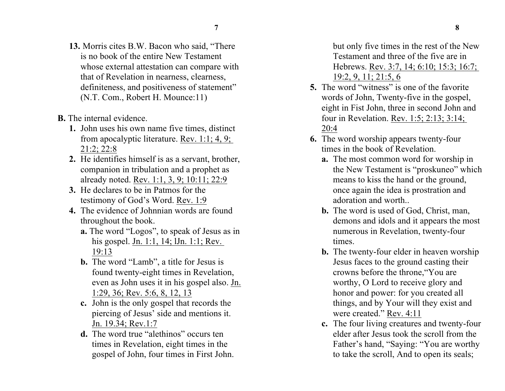- **13.** Morris cites B.W. Bacon who said, "There is no book of the entire New Testament whose external attestation can compare with that of Revelation in nearness, clearness, definiteness, and positiveness of statement" (N.T. Com., Robert H. Mounce:11)
- **B.** The internal evidence.
	- **1.** John uses his own name five times, distinct from apocalyptic literature. Rev. 1:1; 4, 9; 21:2; 22:8
	- **2.** He identifies himself is as a servant, brother, companion in tribulation and a prophet as already noted. Rev. 1:1, 3, 9; 10:11; 22:9
	- **3.** He declares to be in Patmos for the testimony of God's Word. Rev. 1:9
	- **4.** The evidence of Johnnian words are found throughout the book.
		- **a.** The word "Logos", to speak of Jesus as in his gospel. Jn. 1:1, 14; lJn. 1:1; Rev. 19:13
		- **b.** The word "Lamb", a title for Jesus is found twenty-eight times in Revelation, even as John uses it in his gospel also. Jn. 1:29, 36; Rev. 5:6, 8, 12, 13
		- **c.** John is the only gospel that records the piercing of Jesus' side and mentions it. Jn. 19.34; Rev.1:7
		- **d.** The word true "alethinos" occurs ten times in Revelation, eight times in the gospel of John, four times in First John.

but only five times in the rest of the New Testament and three of the five are in Hebrews. Rev. 3:7, 14; 6:10; 15:3; 16:7; 19:2, 9, 11; 21:5, 6

- **5.** The word "witness" is one of the favorite words of John, Twenty-five in the gospel, eight in Fist John, three in second John and four in Revelation. Rev. 1:5; 2:13; 3:14; 20:4
- **6.** The word worship appears twenty-four times in the book of Revelation.
	- **a.** The most common word for worship in the New Testament is "proskuneo" which means to kiss the hand or the ground, once again the idea is prostration and adoration and worth.
	- **b.** The word is used of God, Christ, man, demons and idols and it appears the most numerous in Revelation, twenty-four times.
	- **b.** The twenty-four elder in heaven worship Jesus faces to the ground casting their crowns before the throne,"You are worthy, O Lord to receive glory and honor and power: for you created all things, and by Your will they exist and were created." Rev. 4:11
	- **c.** The four living creatures and twenty-four elder after Jesus took the scroll from the Father's hand, "Saying: "You are worthy to take the scroll, And to open its seals;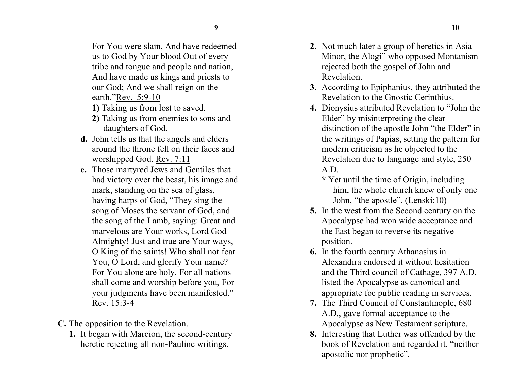For You were slain, And have redeemed us to God by Your blood Out of every tribe and tongue and people and nation, And have made us kings and priests to our God; And we shall reign on the earth."Rev. 5:9-10

- **1)** Taking us from lost to saved.
- **2)** Taking us from enemies to sons and daughters of God.
- **d.** John tells us that the angels and elders around the throne fell on their faces and worshipped God. Rev. 7:11
- **e.** Those martyred Jews and Gentiles that had victory over the beast, his image and mark, standing on the sea of glass, having harps of God, "They sing the song of Moses the servant of God, and the song of the Lamb, saying: Great and marvelous are Your works, Lord God Almighty! Just and true are Your ways, O King of the saints! Who shall not fear You, O Lord, and glorify Your name? For You alone are holy. For all nations shall come and worship before you, For your judgments have been manifested." Rev. 15:3-4

**C.** The opposition to the Revelation.

**1.** It began with Marcion, the second-century heretic rejecting all non-Pauline writings.

- **2.** Not much later a group of heretics in Asia Minor, the Alogi" who opposed Montanism rejected both the gospel of John and Revelation.
- **3.** According to Epiphanius, they attributed the Revelation to the Gnostic Cerinthius.
- **4.** Dionysius attributed Revelation to "John the Elder" by misinterpreting the clear distinction of the apostle John "the Elder" in the writings of Papias, setting the pattern for modern criticism as he objected to the Revelation due to language and style, 250 A.D.
	- **\*** Yet until the time of Origin, including him, the whole church knew of only one John, "the apostle". (Lenski:10)
- **5.** In the west from the Second century on the Apocalypse had won wide acceptance and the East began to reverse its negative position.
- **6.** In the fourth century Athanasius in Alexandira endorsed it without hesitation and the Third council of Cathage, 397 A.D. listed the Apocalypse as canonical and appropriate foe public reading in services.
- **7.** The Third Council of Constantinople, 680 A.D., gave formal acceptance to the Apocalypse as New Testament scripture.
- **8.** Interesting that Luther was offended by the book of Revelation and regarded it, "neither apostolic nor prophetic".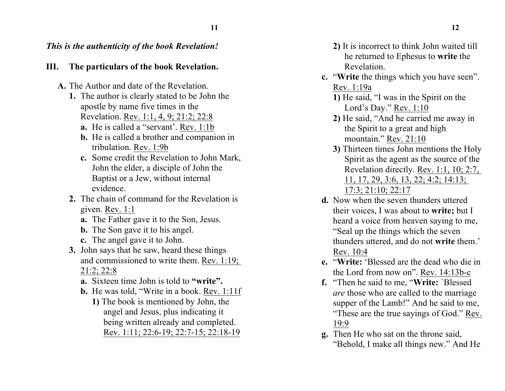## *This is the authenticity of the book Revelation!*

## **III. The particulars of the book Revelation.**

- **A.** The Author and date of the Revelation.
	- **1.** The author is clearly stated to be John the apostle by name five times in the Revelation. Rev. 1:1, 4, 9; 21:2; 22:8
		- **a.** He is called a "servant'. Rev. 1:1b
		- **b.** He is called a brother and companion in tribulation. Rev. 1:9b
		- **c.** Some credit the Revelation to John Mark, John the elder, a disciple of John the Baptist or a Jew, without internal evidence.
	- **2.** The chain of command for the Revelation is given. Rev. 1:1
		- **a.** The Father gave it to the Son, Jesus.
		- **b.** The Son gave it to his angel.
		- **c.** The angel gave it to John.
	- **3.** John says that he saw, heard these things and commissioned to write them. Rev. 1:19; 21:2; 22:8
		- **a.** Sixteen time John is told to **"write".**
		- **b.** He was told, "Write in a book. Rev. 1:11f
			- **1)** The book is mentioned by John, the angel and Jesus, plus indicating it being written already and completed. Rev. 1:11; 22:6-19; 22:7-15; 22:18-19
- **2)** It is incorrect to think John waited till he returned to Ephesus to **write** the Revelation.
- **c.** "**Write** the things which you have seen". Rev. 1:19a
	- **1)** He said, "I was in the Spirit on the Lord's Day." Rev. 1:10
	- **2)** He said, "And he carried me away in the Spirit to a great and high mountain." Rev. 21:10
	- **3)** Thirteen times John mentions the Holy Spirit as the agent as the source of the Revelation directly. Rev. 1:1, 10; 2:7, 11, 17, 29, 3:6, 13, 22; 4:2; 14:13; 17:3; 21:10; 22:17
- **d.** Now when the seven thunders uttered their voices, I was about to **write;** but I heard a voice from heaven saying to me, "Seal up the things which the seven thunders uttered, and do not **write** them.' Rev. 10:4
- **e.** "**Write:** 'Blessed are the dead who die in the Lord from now on". Rev. 14:13b-c
- **f.** "Then he said to me, "**Write:** `Blessed *are* those who are called to the marriage supper of the Lamb!" And he said to me, "These are the true sayings of God." Rev. 19:9
- **g.** Then He who sat on the throne said, "Behold, I make all things new." And He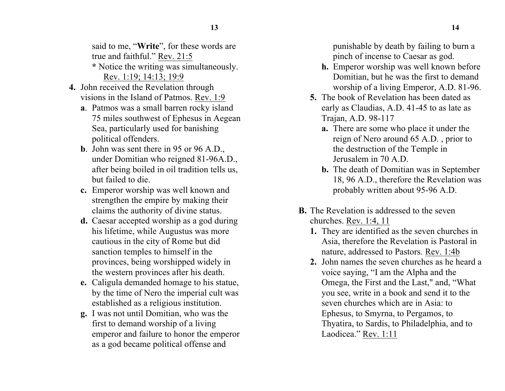said to me, "**Write**", for these words are true and faithful." Rev. 21:5

- **\*** Notice the writing was simultaneously. Rev. 1:19; 14:13; 19:9
- **4.** John received the Revelation through visions in the Island of Patmos. Rev. 1:9
	- **a**. Patmos was a small barren rocky island 75 miles southwest of Ephesus in Aegean Sea, particularly used for banishing political offenders.
	- **b**. John was sent there in 95 or 96 A.D., under Domitian who reigned 81-96A.D., after being boiled in oil tradition tells us, but failed to die.
	- **c.** Emperor worship was well known and strengthen the empire by making their claims the authority of divine status.
	- **d.** Caesar accepted worship as a god during his lifetime, while Augustus was more cautious in the city of Rome but did sanction temples to himself in the provinces, being worshipped widely in the western provinces after his death.
	- **e.** Caligula demanded homage to his statue, by the time of Nero the imperial cult was established as a religious institution.
	- **g.** I was not until Domitian, who was the first to demand worship of a living emperor and failure to honor the emperor as a god became political offense and

punishable by death by failing to burn a pinch of incense to Caesar as god.

- **h.** Emperor worship was well known before Domitian, but he was the first to demand worship of a living Emperor, A.D. 81-96.
- **5.** The book of Revelation has been dated as early as Claudias, A.D. 41-45 to as late as Trajan, A.D. 98-117
	- **a.** There are some who place it under the reign of Nero around 65 A.D. , prior to the destruction of the Temple in Jerusalem in 70 A.D.
	- **b.** The death of Domitian was in September 18, 96 A.D., therefore the Revelation was probably written about 95-96 A.D.
- **B.** The Revelation is addressed to the seven churches. Rev. 1:4, 11
	- **1.** They are identified as the seven churches in Asia, therefore the Revelation is Pastoral in nature, addressed to Pastors. Rev. 1:4b
	- **2.** John names the seven churches as he heard a voice saying, "I am the Alpha and the Omega, the First and the Last," and, "What you see, write in a book and send it to the seven churches which are in Asia: to Ephesus, to Smyrna, to Pergamos, to Thyatira, to Sardis, to Philadelphia, and to Laodicea." Rev. 1:11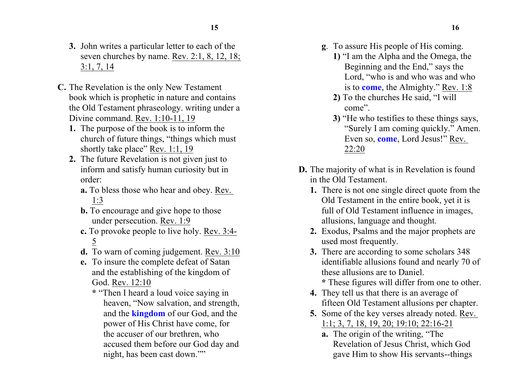- **3.** John writes a particular letter to each of the seven churches by name. Rev. 2:1, 8, 12, 18; 3:1, 7, 14
- **C.** The Revelation is the only New Testament book which is prophetic in nature and contains the Old Testament phraseology. writing under a Divine command. Rev. 1:10-11, 19
	- **1.** The purpose of the book is to inform the church of future things, "things which must shortly take place" Rev. 1:1, 19
	- **2.** The future Revelation is not given just to inform and satisfy human curiosity but in order:
		- **a.** To bless those who hear and obey. Rev. 1:3
		- **b.** To encourage and give hope to those under persecution. Rev. 1:9
		- **c.** To provoke people to live holy. Rev. 3:4- 5
		- **d.** To warn of coming judgement. Rev. 3:10
		- **e.** To insure the complete defeat of Satan and the establishing of the kingdom of God. Rev. 12:10
			- **\*** "Then I heard a loud voice saying in heaven, "Now salvation, and strength, and the **kingdom** of our God, and the power of His Christ have come, for the accuser of our brethren, who accused them before our God day and night, has been cast down.""
- **g**. To assure His people of His coming.
	- **1)** "I am the Alpha and the Omega, the Beginning and the End," says the Lord, "who is and who was and who is to **come**, the Almighty." Rev. 1:8
	- **2)** To the churches He said, "I will come".
	- **3)** "He who testifies to these things says, "Surely I am coming quickly." Amen. Even so, **come**, Lord Jesus!" Rev. 22:20
- **D.** The majority of what is in Revelation is found in the Old Testament.
	- **1.** There is not one single direct quote from the Old Testament in the entire book, yet it is full of Old Testament influence in images, allusions, language and thought.
	- **2.** Exodus, Psalms and the major prophets are used most frequently.
	- **3.** There are according to some scholars 348 identifiable allusions found and nearly 70 of these allusions are to Daniel.
		- **\*** These figures will differ from one to other.
	- **4.** They tell us that there is an average of fifteen Old Testament allusions per chapter.
	- **5.** Some of the key verses already noted. Rev. 1:1; 3, 7, 18, 19, 20; 19:10; 22:16-21
		- **a.** The origin of the writing, "The Revelation of Jesus Christ, which God gave Him to show His servants--things